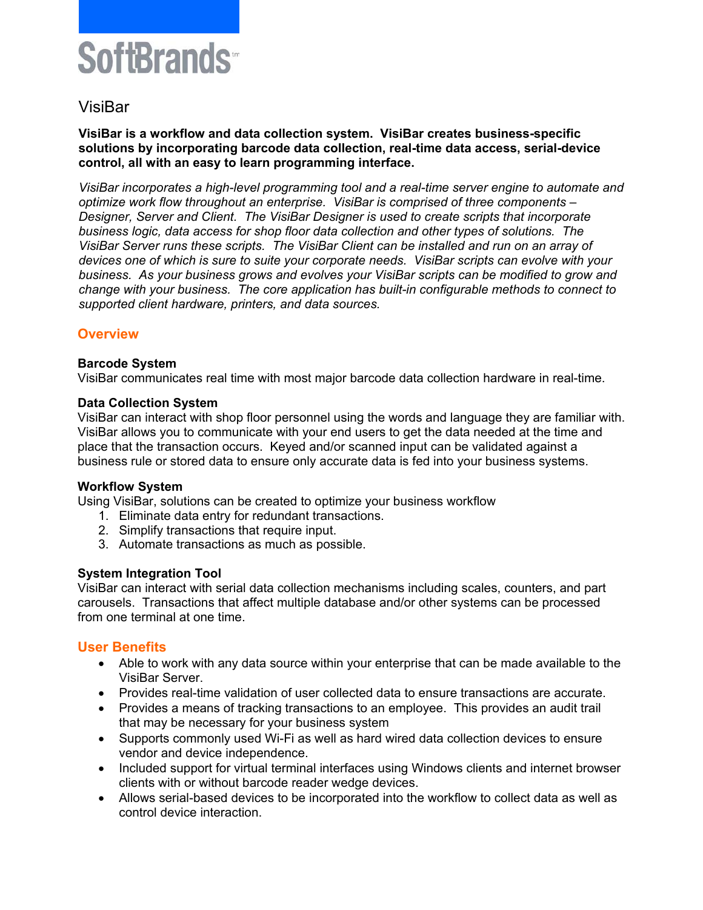# SoftBrands<sup>®</sup>

## VisiBar

**VisiBar is a workflow and data collection system. VisiBar creates business-specific solutions by incorporating barcode data collection, real-time data access, serial-device control, all with an easy to learn programming interface.** 

*VisiBar incorporates a high-level programming tool and a real-time server engine to automate and optimize work flow throughout an enterprise. VisiBar is comprised of three components – Designer, Server and Client. The VisiBar Designer is used to create scripts that incorporate business logic, data access for shop floor data collection and other types of solutions. The VisiBar Server runs these scripts. The VisiBar Client can be installed and run on an array of devices one of which is sure to suite your corporate needs. VisiBar scripts can evolve with your business. As your business grows and evolves your VisiBar scripts can be modified to grow and change with your business. The core application has built-in configurable methods to connect to supported client hardware, printers, and data sources.* 

## **Overview**

## **Barcode System**

VisiBar communicates real time with most major barcode data collection hardware in real-time.

## **Data Collection System**

VisiBar can interact with shop floor personnel using the words and language they are familiar with. VisiBar allows you to communicate with your end users to get the data needed at the time and place that the transaction occurs. Keyed and/or scanned input can be validated against a business rule or stored data to ensure only accurate data is fed into your business systems.

## **Workflow System**

Using VisiBar, solutions can be created to optimize your business workflow

- 1. Eliminate data entry for redundant transactions.
- 2. Simplify transactions that require input.
- 3. Automate transactions as much as possible.

## **System Integration Tool**

VisiBar can interact with serial data collection mechanisms including scales, counters, and part carousels. Transactions that affect multiple database and/or other systems can be processed from one terminal at one time.

## **User Benefits**

- Able to work with any data source within your enterprise that can be made available to the VisiBar Server.
- Provides real-time validation of user collected data to ensure transactions are accurate.
- Provides a means of tracking transactions to an employee. This provides an audit trail that may be necessary for your business system
- Supports commonly used Wi-Fi as well as hard wired data collection devices to ensure vendor and device independence.
- Included support for virtual terminal interfaces using Windows clients and internet browser clients with or without barcode reader wedge devices.
- Allows serial-based devices to be incorporated into the workflow to collect data as well as control device interaction.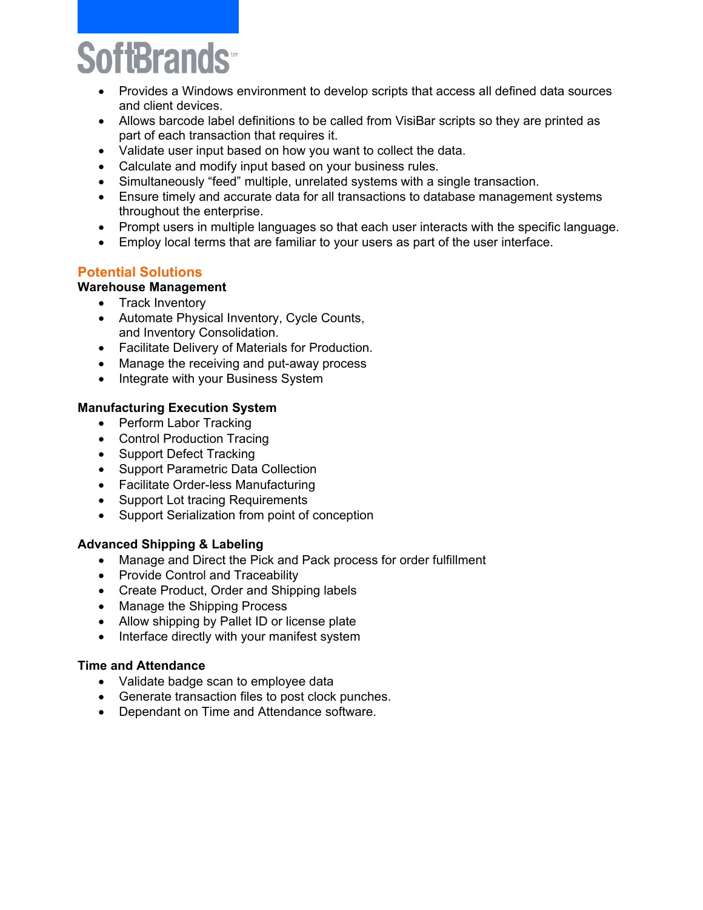ftBrands

- Provides a Windows environment to develop scripts that access all defined data sources and client devices.
- Allows barcode label definitions to be called from VisiBar scripts so they are printed as part of each transaction that requires it.
- Validate user input based on how you want to collect the data.
- Calculate and modify input based on your business rules.
- Simultaneously "feed" multiple, unrelated systems with a single transaction.
- Ensure timely and accurate data for all transactions to database management systems throughout the enterprise.
- Prompt users in multiple languages so that each user interacts with the specific language.
- Employ local terms that are familiar to your users as part of the user interface.

## **Potential Solutions**

## **Warehouse Management**

- Track Inventory
- Automate Physical Inventory, Cycle Counts, and Inventory Consolidation.
- Facilitate Delivery of Materials for Production.
- Manage the receiving and put-away process
- Integrate with your Business System

## **Manufacturing Execution System**

- Perform Labor Tracking
- Control Production Tracing
- Support Defect Tracking
- Support Parametric Data Collection
- Facilitate Order-less Manufacturing
- Support Lot tracing Requirements
- Support Serialization from point of conception

## **Advanced Shipping & Labeling**

- Manage and Direct the Pick and Pack process for order fulfillment
- Provide Control and Traceability
- Create Product, Order and Shipping labels
- Manage the Shipping Process
- Allow shipping by Pallet ID or license plate
- Interface directly with your manifest system

## **Time and Attendance**

- Validate badge scan to employee data
- Generate transaction files to post clock punches.
- Dependant on Time and Attendance software.